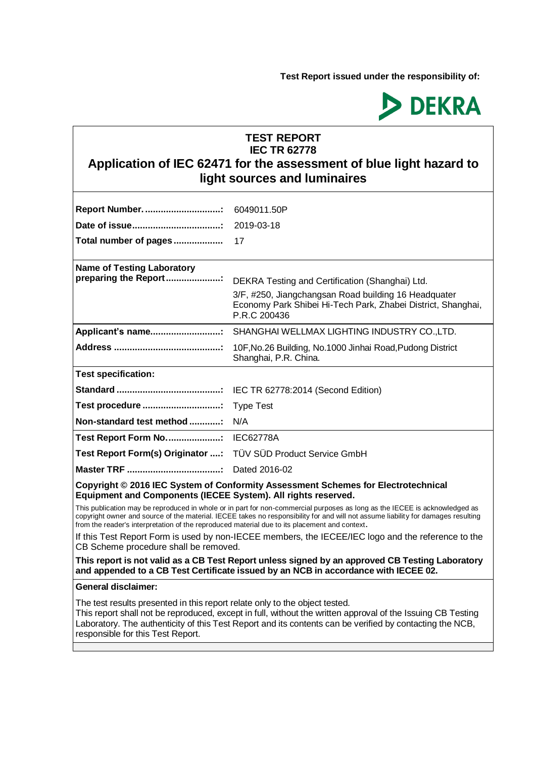**Test Report issued under the responsibility of:** 



## **TEST REPORT IEC TR 62778**

# **Application of IEC 62471 for the assessment of blue light hazard to light sources and luminaires**

| Report Number.                                                                                                                              | 6049011.50P                                                                                                                                                                                                                                                     |  |
|---------------------------------------------------------------------------------------------------------------------------------------------|-----------------------------------------------------------------------------------------------------------------------------------------------------------------------------------------------------------------------------------------------------------------|--|
|                                                                                                                                             | 2019-03-18                                                                                                                                                                                                                                                      |  |
| Total number of pages                                                                                                                       | 17                                                                                                                                                                                                                                                              |  |
|                                                                                                                                             |                                                                                                                                                                                                                                                                 |  |
| <b>Name of Testing Laboratory</b><br>preparing the Report                                                                                   |                                                                                                                                                                                                                                                                 |  |
|                                                                                                                                             | DEKRA Testing and Certification (Shanghai) Ltd.                                                                                                                                                                                                                 |  |
|                                                                                                                                             | 3/F, #250, Jiangchangsan Road building 16 Headquater<br>Economy Park Shibei Hi-Tech Park, Zhabei District, Shanghai,<br>P.R.C 200436                                                                                                                            |  |
|                                                                                                                                             |                                                                                                                                                                                                                                                                 |  |
|                                                                                                                                             | 10F, No. 26 Building, No. 1000 Jinhai Road, Pudong District<br>Shanghai, P.R. China.                                                                                                                                                                            |  |
| <b>Test specification:</b>                                                                                                                  |                                                                                                                                                                                                                                                                 |  |
|                                                                                                                                             |                                                                                                                                                                                                                                                                 |  |
|                                                                                                                                             |                                                                                                                                                                                                                                                                 |  |
| Non-standard test method                                                                                                                    | N/A                                                                                                                                                                                                                                                             |  |
| Test Report Form No: IEC62778A                                                                                                              |                                                                                                                                                                                                                                                                 |  |
| Test Report Form(s) Originator : TÜV SÜD Product Service GmbH                                                                               |                                                                                                                                                                                                                                                                 |  |
|                                                                                                                                             |                                                                                                                                                                                                                                                                 |  |
| Equipment and Components (IECEE System). All rights reserved.                                                                               | Copyright © 2016 IEC System of Conformity Assessment Schemes for Electrotechnical                                                                                                                                                                               |  |
| from the reader's interpretation of the reproduced material due to its placement and context.                                               | This publication may be reproduced in whole or in part for non-commercial purposes as long as the IECEE is acknowledged as<br>copyright owner and source of the material. IECEE takes no responsibility for and will not assume liability for damages resulting |  |
| If this Test Report Form is used by non-IECEE members, the IECEE/IEC logo and the reference to the<br>CB Scheme procedure shall be removed. |                                                                                                                                                                                                                                                                 |  |
|                                                                                                                                             | This report is not valid as a CB Test Report unless signed by an approved CB Testing Laboratory<br>and appended to a CB Test Certificate issued by an NCB in accordance with IECEE 02.                                                                          |  |
| <b>General disclaimer:</b>                                                                                                                  |                                                                                                                                                                                                                                                                 |  |

The test results presented in this report relate only to the object tested.

This report shall not be reproduced, except in full, without the written approval of the Issuing CB Testing Laboratory. The authenticity of this Test Report and its contents can be verified by contacting the NCB, responsible for this Test Report.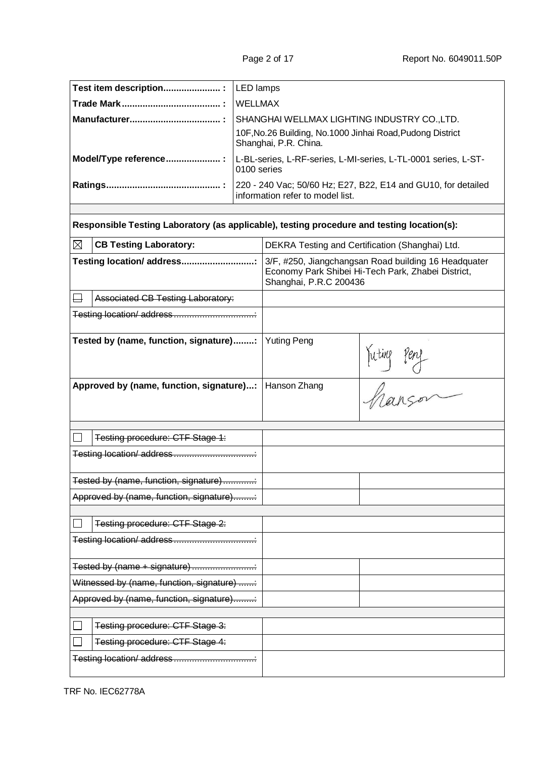| Test item description :                                                                    | LED lamps      |                                                                                                                                      |                                                                                                            |
|--------------------------------------------------------------------------------------------|----------------|--------------------------------------------------------------------------------------------------------------------------------------|------------------------------------------------------------------------------------------------------------|
|                                                                                            | <b>WELLMAX</b> |                                                                                                                                      |                                                                                                            |
|                                                                                            |                | SHANGHAI WELLMAX LIGHTING INDUSTRY CO., LTD.<br>10F, No. 26 Building, No. 1000 Jinhai Road, Pudong District<br>Shanghai, P.R. China. |                                                                                                            |
| Model/Type reference :                                                                     | 0100 series    |                                                                                                                                      | L-BL-series, L-RF-series, L-MI-series, L-TL-0001 series, L-ST-                                             |
|                                                                                            |                | information refer to model list.                                                                                                     | 220 - 240 Vac; 50/60 Hz; E27, B22, E14 and GU10, for detailed                                              |
|                                                                                            |                |                                                                                                                                      |                                                                                                            |
| Responsible Testing Laboratory (as applicable), testing procedure and testing location(s): |                |                                                                                                                                      |                                                                                                            |
| $\boxtimes$<br><b>CB Testing Laboratory:</b>                                               |                |                                                                                                                                      | DEKRA Testing and Certification (Shanghai) Ltd.                                                            |
| Testing location/ address                                                                  |                | Shanghai, P.R.C 200436                                                                                                               | 3/F, #250, Jiangchangsan Road building 16 Headquater<br>Economy Park Shibei Hi-Tech Park, Zhabei District, |
| Associated CB Testing Laboratory:                                                          |                |                                                                                                                                      |                                                                                                            |
|                                                                                            |                |                                                                                                                                      |                                                                                                            |
| Tested by (name, function, signature):                                                     |                | <b>Yuting Peng</b>                                                                                                                   | Yuting peny                                                                                                |
| Approved by (name, function, signature):                                                   |                | Hanson Zhang                                                                                                                         |                                                                                                            |
| Testing procedure: CTF Stage 1:                                                            |                |                                                                                                                                      |                                                                                                            |
|                                                                                            |                |                                                                                                                                      |                                                                                                            |
|                                                                                            |                |                                                                                                                                      |                                                                                                            |
| Tested by (name, function, signature)                                                      |                |                                                                                                                                      |                                                                                                            |
| Approved by (name, function, signature)                                                    |                |                                                                                                                                      |                                                                                                            |
|                                                                                            |                |                                                                                                                                      |                                                                                                            |
| Testing procedure: CTF Stage 2:<br>Testing location/address                                |                |                                                                                                                                      |                                                                                                            |
|                                                                                            |                |                                                                                                                                      |                                                                                                            |
| Tested by (name + signature)                                                               |                |                                                                                                                                      |                                                                                                            |
| Witnessed by (name, function, signature)                                                   |                |                                                                                                                                      |                                                                                                            |
| Approved by (name, function, signature)                                                    |                |                                                                                                                                      |                                                                                                            |
|                                                                                            |                |                                                                                                                                      |                                                                                                            |
| Testing procedure: CTF Stage 3:                                                            |                |                                                                                                                                      |                                                                                                            |
| Testing procedure: CTF Stage 4:                                                            |                |                                                                                                                                      |                                                                                                            |
|                                                                                            |                |                                                                                                                                      |                                                                                                            |

TRF No. IEC62778A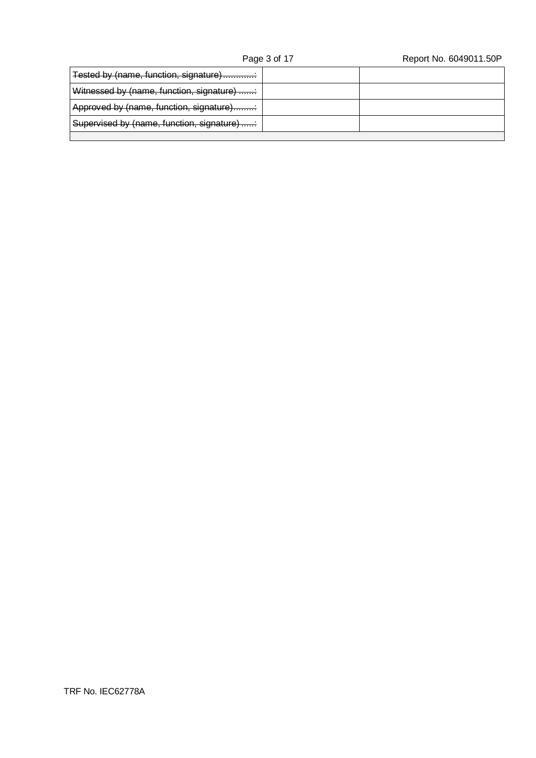## Page 3 of 17 Report No. 6049011.50P

| Tested by (name, function, signature)     |  |
|-------------------------------------------|--|
| Witnessed by (name, function, signature)  |  |
| Approved by (name, function, signature)   |  |
| Supervised by (name, function, signature) |  |
|                                           |  |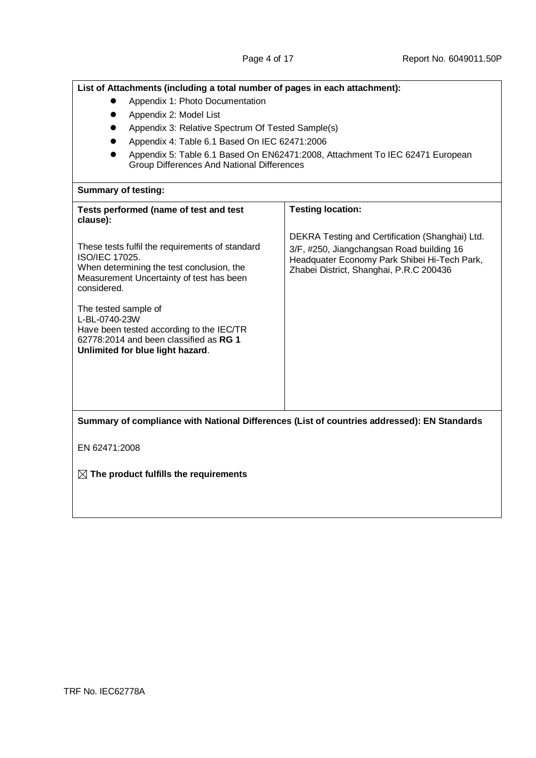| List of Attachments (including a total number of pages in each attachment):                                                                                                      |                                                                                                                                      |  |  |  |  |
|----------------------------------------------------------------------------------------------------------------------------------------------------------------------------------|--------------------------------------------------------------------------------------------------------------------------------------|--|--|--|--|
| Appendix 1: Photo Documentation                                                                                                                                                  |                                                                                                                                      |  |  |  |  |
| Appendix 2: Model List                                                                                                                                                           |                                                                                                                                      |  |  |  |  |
| Appendix 3: Relative Spectrum Of Tested Sample(s)                                                                                                                                |                                                                                                                                      |  |  |  |  |
| Appendix 4: Table 6.1 Based On IEC 62471:2006                                                                                                                                    |                                                                                                                                      |  |  |  |  |
| Group Differences And National Differences                                                                                                                                       | Appendix 5: Table 6.1 Based On EN62471:2008, Attachment To IEC 62471 European                                                        |  |  |  |  |
| <b>Summary of testing:</b>                                                                                                                                                       |                                                                                                                                      |  |  |  |  |
| Tests performed (name of test and test<br>clause):                                                                                                                               | <b>Testing location:</b>                                                                                                             |  |  |  |  |
|                                                                                                                                                                                  | DEKRA Testing and Certification (Shanghai) Ltd.                                                                                      |  |  |  |  |
| These tests fulfil the requirements of standard<br><b>ISO/IEC 17025.</b><br>When determining the test conclusion, the<br>Measurement Uncertainty of test has been<br>considered. | 3/F, #250, Jiangchangsan Road building 16<br>Headquater Economy Park Shibei Hi-Tech Park,<br>Zhabei District, Shanghai, P.R.C 200436 |  |  |  |  |
| The tested sample of<br>L-BL-0740-23W<br>Have been tested according to the IEC/TR<br>62778:2014 and been classified as RG 1<br>Unlimited for blue light hazard.                  |                                                                                                                                      |  |  |  |  |
|                                                                                                                                                                                  |                                                                                                                                      |  |  |  |  |
|                                                                                                                                                                                  |                                                                                                                                      |  |  |  |  |
|                                                                                                                                                                                  |                                                                                                                                      |  |  |  |  |
| Summary of compliance with National Differences (List of countries addressed): EN Standards                                                                                      |                                                                                                                                      |  |  |  |  |
| EN 62471:2008                                                                                                                                                                    |                                                                                                                                      |  |  |  |  |
| $\boxtimes$ The product fulfills the requirements                                                                                                                                |                                                                                                                                      |  |  |  |  |
|                                                                                                                                                                                  |                                                                                                                                      |  |  |  |  |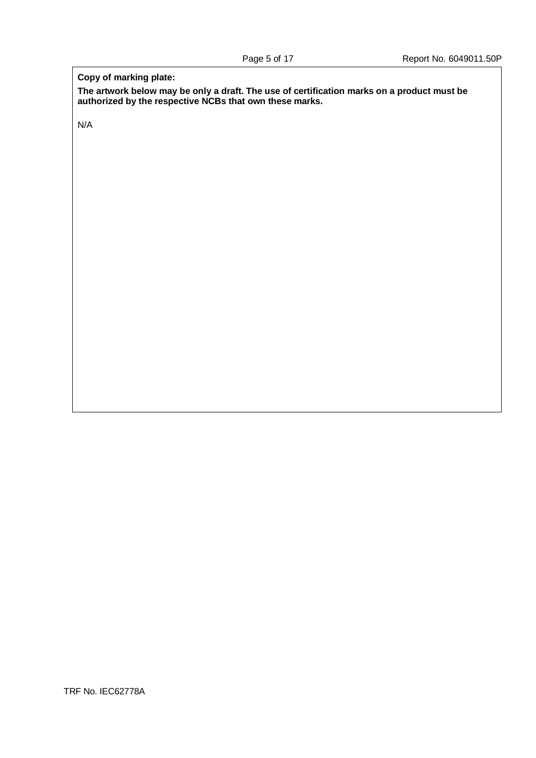### **Copy of marking plate:**

**The artwork below may be only a draft. The use of certification marks on a product must be authorized by the respective NCBs that own these marks.**

N/A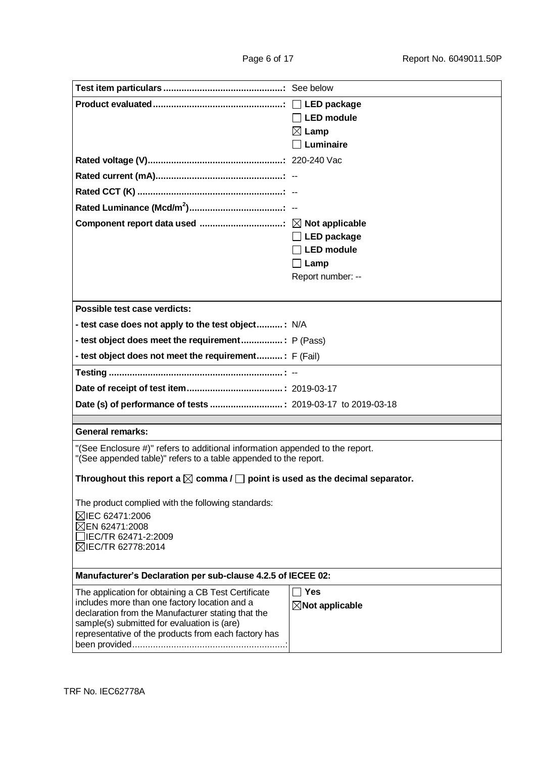|                                                                                                                                                  | <b>LED</b> module          |  |  |
|--------------------------------------------------------------------------------------------------------------------------------------------------|----------------------------|--|--|
|                                                                                                                                                  | $\boxtimes$ Lamp           |  |  |
|                                                                                                                                                  | Luminaire                  |  |  |
|                                                                                                                                                  |                            |  |  |
|                                                                                                                                                  |                            |  |  |
|                                                                                                                                                  |                            |  |  |
|                                                                                                                                                  |                            |  |  |
|                                                                                                                                                  |                            |  |  |
|                                                                                                                                                  | $\Box$ LED package         |  |  |
|                                                                                                                                                  | <b>LED</b> module          |  |  |
|                                                                                                                                                  | $\Box$ Lamp                |  |  |
|                                                                                                                                                  | Report number: --          |  |  |
|                                                                                                                                                  |                            |  |  |
| Possible test case verdicts:                                                                                                                     |                            |  |  |
| - test case does not apply to the test object: N/A                                                                                               |                            |  |  |
|                                                                                                                                                  |                            |  |  |
| - test object does not meet the requirement: F (Fail)                                                                                            |                            |  |  |
|                                                                                                                                                  |                            |  |  |
|                                                                                                                                                  |                            |  |  |
|                                                                                                                                                  |                            |  |  |
|                                                                                                                                                  |                            |  |  |
| <b>General remarks:</b>                                                                                                                          |                            |  |  |
| "(See Enclosure #)" refers to additional information appended to the report.<br>"(See appended table)" refers to a table appended to the report. |                            |  |  |
| Throughout this report a $\boxtimes$ comma / $\Box$ point is used as the decimal separator.                                                      |                            |  |  |
| The product complied with the following standards:                                                                                               |                            |  |  |
| ⊠IEC 62471:2006                                                                                                                                  |                            |  |  |
| ⊠EN 62471:2008                                                                                                                                   |                            |  |  |
| □IEC/TR 62471-2:2009<br>⊠IEC/TR 62778:2014                                                                                                       |                            |  |  |
|                                                                                                                                                  |                            |  |  |
| Manufacturer's Declaration per sub-clause 4.2.5 of IECEE 02:                                                                                     |                            |  |  |
| The application for obtaining a CB Test Certificate                                                                                              | $\Box$ Yes                 |  |  |
| includes more than one factory location and a                                                                                                    | $\boxtimes$ Not applicable |  |  |
| declaration from the Manufacturer stating that the<br>sample(s) submitted for evaluation is (are)                                                |                            |  |  |
| representative of the products from each factory has                                                                                             |                            |  |  |
|                                                                                                                                                  |                            |  |  |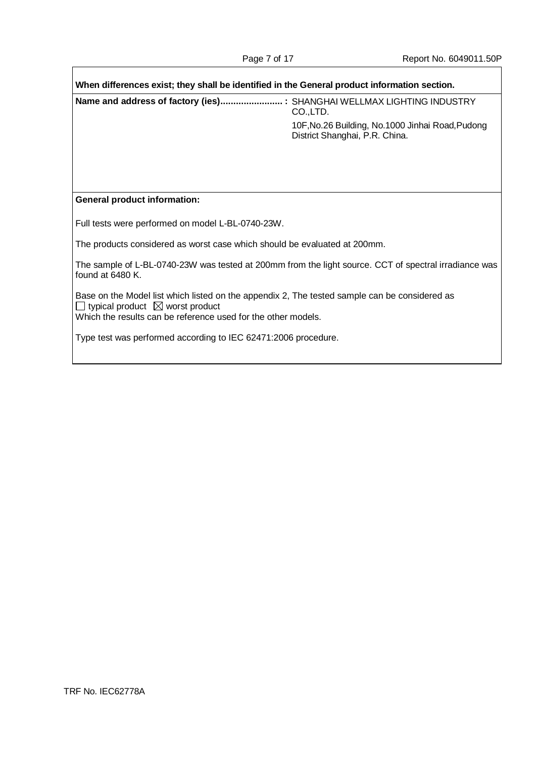| When differences exist; they shall be identified in the General product information section.                                                                                                                       |                                                                                      |  |
|--------------------------------------------------------------------------------------------------------------------------------------------------------------------------------------------------------------------|--------------------------------------------------------------------------------------|--|
| Name and address of factory (ies) : SHANGHAI WELLMAX LIGHTING INDUSTRY                                                                                                                                             | CO.,LTD.                                                                             |  |
|                                                                                                                                                                                                                    | 10F, No. 26 Building, No. 1000 Jinhai Road, Pudong<br>District Shanghai, P.R. China. |  |
|                                                                                                                                                                                                                    |                                                                                      |  |
|                                                                                                                                                                                                                    |                                                                                      |  |
| <b>General product information:</b>                                                                                                                                                                                |                                                                                      |  |
| Full tests were performed on model L-BL-0740-23W.                                                                                                                                                                  |                                                                                      |  |
| The products considered as worst case which should be evaluated at 200mm.                                                                                                                                          |                                                                                      |  |
| The sample of L-BL-0740-23W was tested at 200mm from the light source. CCT of spectral irradiance was<br>found at 6480 K.                                                                                          |                                                                                      |  |
| Base on the Model list which listed on the appendix 2, The tested sample can be considered as<br>$\Box$ typical product $\boxtimes$ worst product<br>Which the results can be reference used for the other models. |                                                                                      |  |
| Type test was performed according to IEC 62471:2006 procedure.                                                                                                                                                     |                                                                                      |  |

 $\mathbf{I}$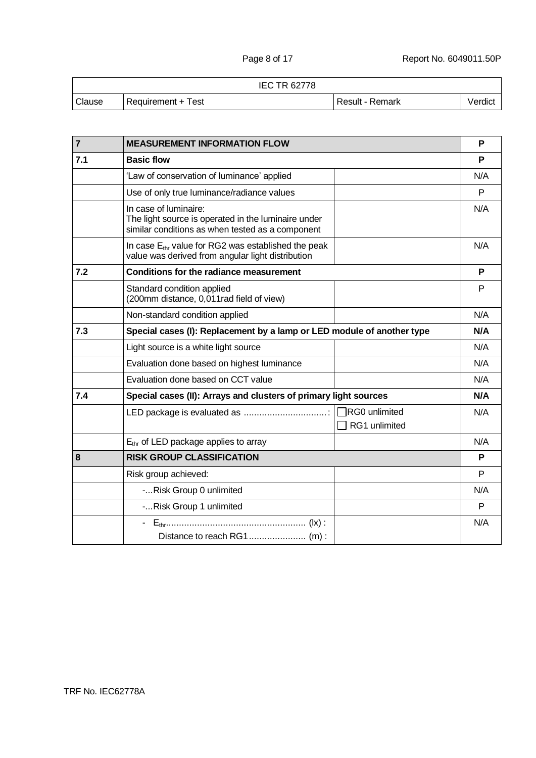|        |                     | <b>IEC TR 62778</b> |                 |         |
|--------|---------------------|---------------------|-----------------|---------|
| Clause | Requirement + Test_ |                     | Result - Remark | Verdict |

| $\overline{7}$ | <b>MEASUREMENT INFORMATION FLOW</b>                                                                                              |                      | P   |
|----------------|----------------------------------------------------------------------------------------------------------------------------------|----------------------|-----|
| 7.1            | <b>Basic flow</b>                                                                                                                |                      | P   |
|                | 'Law of conservation of luminance' applied                                                                                       |                      | N/A |
|                | Use of only true luminance/radiance values                                                                                       |                      | P   |
|                | In case of luminaire:<br>The light source is operated in the luminaire under<br>similar conditions as when tested as a component |                      | N/A |
|                | In case $E_{thr}$ value for RG2 was established the peak<br>value was derived from angular light distribution                    |                      | N/A |
| 7.2            | <b>Conditions for the radiance measurement</b>                                                                                   |                      | P   |
|                | Standard condition applied<br>(200mm distance, 0,011rad field of view)                                                           |                      | P   |
|                | Non-standard condition applied                                                                                                   |                      | N/A |
| 7.3            | Special cases (I): Replacement by a lamp or LED module of another type                                                           |                      | N/A |
|                | Light source is a white light source                                                                                             |                      | N/A |
|                | Evaluation done based on highest luminance                                                                                       |                      | N/A |
|                | Evaluation done based on CCT value                                                                                               |                      | N/A |
| 7.4            | Special cases (II): Arrays and clusters of primary light sources                                                                 |                      | N/A |
|                |                                                                                                                                  | $\Box$ RG0 unlimited | N/A |
|                |                                                                                                                                  | RG1 unlimited        |     |
|                | $E_{thr}$ of LED package applies to array                                                                                        |                      | N/A |
| 8              | <b>RISK GROUP CLASSIFICATION</b>                                                                                                 |                      | P   |
|                | Risk group achieved:                                                                                                             |                      | P   |
|                | -Risk Group 0 unlimited                                                                                                          |                      | N/A |
|                | -Risk Group 1 unlimited                                                                                                          |                      | P   |
|                | $E_{thr}$ (x) :                                                                                                                  |                      | N/A |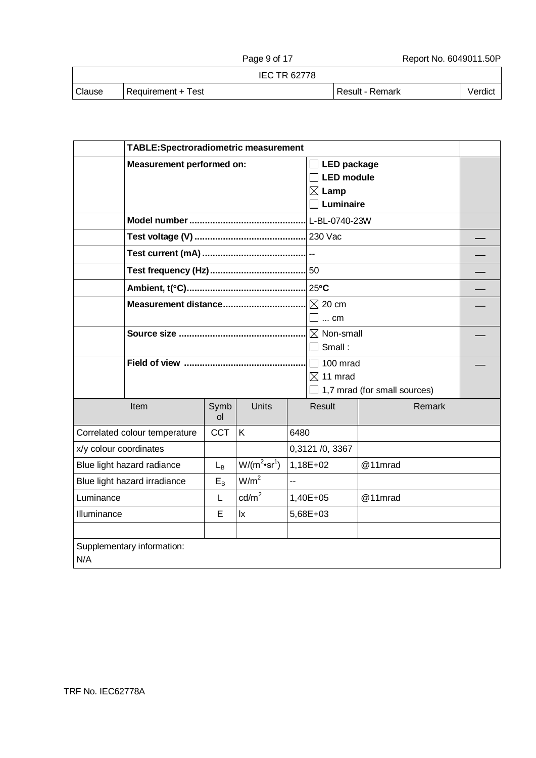IEC TR 62778

| Clause | Requirement + Test |
|--------|--------------------|
|--------|--------------------|

Result - Remark | Verdict

|                                                               | TABLE:Spectroradiometric measurement |                       |                     |      |                                                             |                              |  |
|---------------------------------------------------------------|--------------------------------------|-----------------------|---------------------|------|-------------------------------------------------------------|------------------------------|--|
|                                                               | <b>Measurement performed on:</b>     |                       |                     |      | $\Box$ LED package<br><b>LED</b> module<br>$\boxtimes$ Lamp |                              |  |
|                                                               |                                      |                       |                     |      | $\exists$ Luminaire                                         |                              |  |
|                                                               |                                      |                       |                     |      | L-BL-0740-23W                                               |                              |  |
|                                                               |                                      |                       |                     |      |                                                             |                              |  |
|                                                               |                                      |                       |                     |      |                                                             |                              |  |
|                                                               |                                      |                       |                     |      | $-50$                                                       |                              |  |
|                                                               |                                      |                       |                     |      | $25^{\circ}$ C                                              |                              |  |
|                                                               | Measurement distance                 |                       |                     |      | $\boxtimes$ 20 cm<br>$\Box$ cm                              |                              |  |
|                                                               |                                      |                       |                     |      | $\boxtimes$ Non-small<br>$\Box$ Small :                     |                              |  |
|                                                               |                                      |                       |                     |      | $\Box$ 100 mrad<br>$\boxtimes$ 11 mrad                      | 1,7 mrad (for small sources) |  |
|                                                               | Item                                 | Symb<br><sub>ol</sub> | Units               |      | Result                                                      | Remark                       |  |
|                                                               | Correlated colour temperature        | <b>CCT</b>            | K                   | 6480 |                                                             |                              |  |
| x/y colour coordinates                                        |                                      |                       |                     |      | 0,3121 /0, 3367                                             |                              |  |
| $W/(m^2 \cdot sr^1)$<br>Blue light hazard radiance<br>$L_{B}$ |                                      |                       | 1,18E+02<br>@11mrad |      |                                                             |                              |  |
| W/m <sup>2</sup><br>Blue light hazard irradiance<br>$E_B$     |                                      | LL.                   |                     |      |                                                             |                              |  |
| $\text{cd/m}^2$<br>Luminance<br>L                             |                                      | @11mrad<br>1,40E+05   |                     |      |                                                             |                              |  |
| Illuminance<br>E<br>$\mathsf{I}\mathsf{x}$                    |                                      |                       | 5,68E+03            |      |                                                             |                              |  |
|                                                               |                                      |                       |                     |      |                                                             |                              |  |
| N/A                                                           | Supplementary information:           |                       |                     |      |                                                             |                              |  |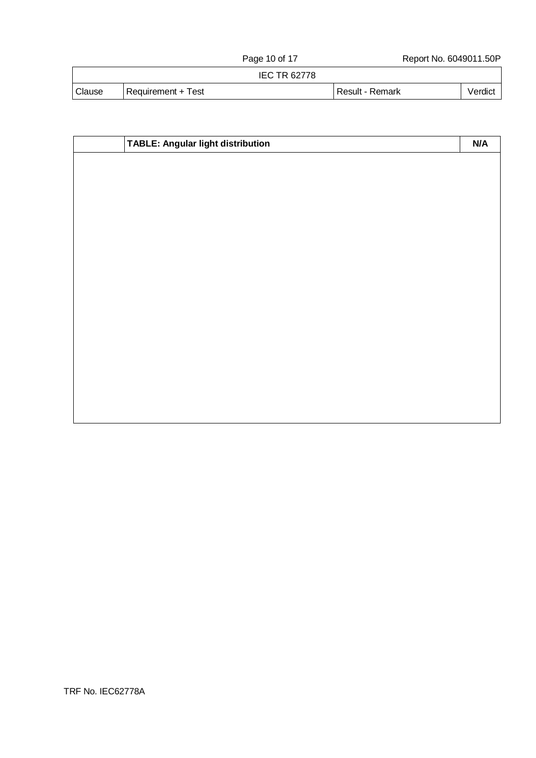IEC TR 62778

| <b>Clause</b> | ±est<br>$Recurrence +$ | <b>Remark</b><br>Result | √erdıct |
|---------------|------------------------|-------------------------|---------|

| TABLE: Angular light distribution | N/A |
|-----------------------------------|-----|
|                                   |     |
|                                   |     |
|                                   |     |
|                                   |     |
|                                   |     |
|                                   |     |
|                                   |     |
|                                   |     |
|                                   |     |
|                                   |     |
|                                   |     |
|                                   |     |
|                                   |     |
|                                   |     |
|                                   |     |
|                                   |     |
|                                   |     |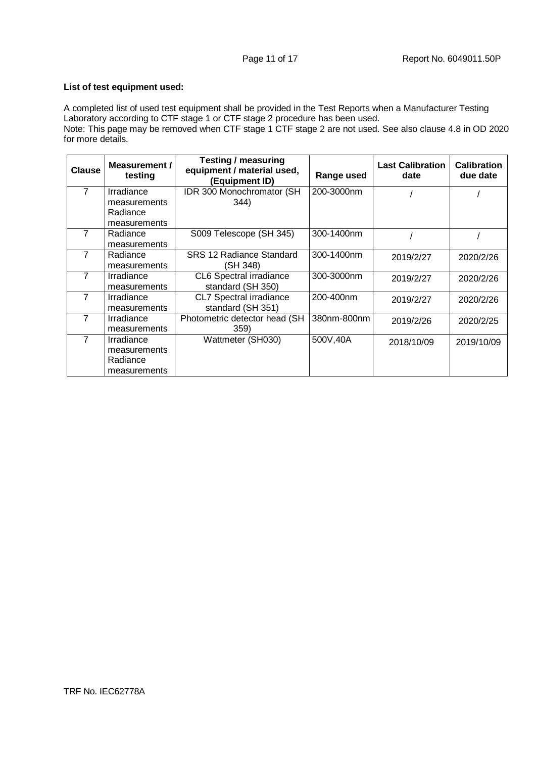#### **List of test equipment used:**

A completed list of used test equipment shall be provided in the Test Reports when a Manufacturer Testing Laboratory according to CTF stage 1 or CTF stage 2 procedure has been used.

Note: This page may be removed when CTF stage 1 CTF stage 2 are not used. See also clause 4.8 in OD 2020 for more details.

| <b>Clause</b>  | Measurement /<br>testing | Testing / measuring<br>equipment / material used,<br>(Equipment ID) | Range used  | <b>Last Calibration</b><br>date | <b>Calibration</b><br>due date |
|----------------|--------------------------|---------------------------------------------------------------------|-------------|---------------------------------|--------------------------------|
| $\overline{7}$ | Irradiance               | IDR 300 Monochromator (SH                                           | 200-3000nm  |                                 |                                |
|                | measurements             | 344)                                                                |             |                                 |                                |
|                | Radiance                 |                                                                     |             |                                 |                                |
|                | measurements             |                                                                     |             |                                 |                                |
| $\overline{7}$ | Radiance                 | S009 Telescope (SH 345)                                             | 300-1400nm  |                                 |                                |
|                | measurements             |                                                                     |             |                                 |                                |
| 7              | Radiance                 | SRS 12 Radiance Standard                                            | 300-1400nm  | 2019/2/27                       | 2020/2/26                      |
|                | measurements             | (SH 348)                                                            |             |                                 |                                |
| 7              | Irradiance               | CL6 Spectral irradiance                                             | 300-3000nm  | 2019/2/27                       | 2020/2/26                      |
|                | measurements             | standard (SH 350)                                                   |             |                                 |                                |
| 7              | Irradiance               | CL7 Spectral irradiance                                             | 200-400nm   | 2019/2/27                       | 2020/2/26                      |
|                | measurements             | standard (SH 351)                                                   |             |                                 |                                |
| 7              | Irradiance               | Photometric detector head (SH                                       | 380nm-800nm | 2019/2/26                       | 2020/2/25                      |
|                | measurements             | 359)                                                                |             |                                 |                                |
| 7              | Irradiance               | Wattmeter (SH030)                                                   | 500V,40A    | 2018/10/09                      | 2019/10/09                     |
|                | measurements             |                                                                     |             |                                 |                                |
|                | Radiance                 |                                                                     |             |                                 |                                |
|                | measurements             |                                                                     |             |                                 |                                |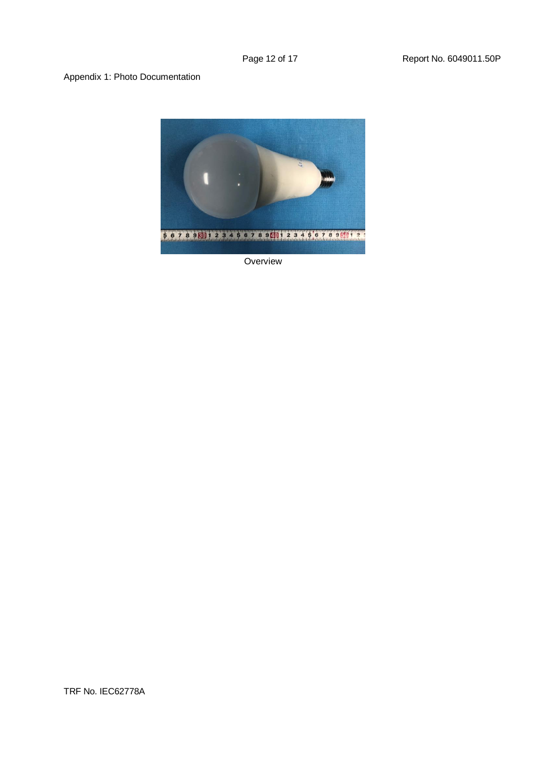#### Appendix 1: Photo Documentation



**Overview** 

TRF No. IEC62778A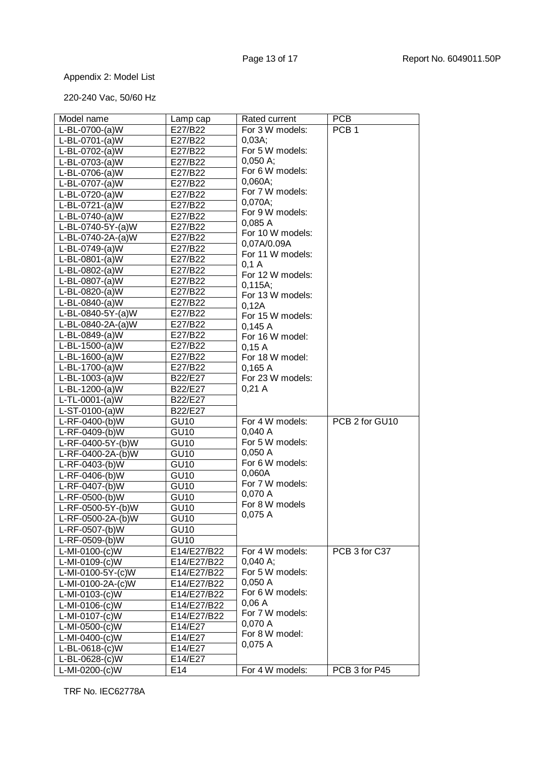## Appendix 2: Model List

## 220-240 Vac, 50/60 Hz

| Model name           | Lamp cap         | Rated current                         | <b>PCB</b>       |
|----------------------|------------------|---------------------------------------|------------------|
| L-BL-0700-(a)W       | E27/B22          | For 3 W models:                       | PCB <sub>1</sub> |
| L-BL-0701-(a)W       | E27/B22          | 0,03A;                                |                  |
| L-BL-0702-(a)W       | E27/B22          | For 5 W models:                       |                  |
| L-BL-0703-(a)W       | E27/B22          | 0,050 A;                              |                  |
| L-BL-0706-(a)W       | E27/B22          | For 6 W models:                       |                  |
| L-BL-0707-(a)W       | E27/B22          | 0,060A;                               |                  |
| L-BL-0720-(a)W       | E27/B22          | For 7 W models:                       |                  |
| L-BL-0721-(a)W       | E27/B22          | 0,070A;                               |                  |
| L-BL-0740-(a)W       | E27/B22          | For 9 W models:                       |                  |
| L-BL-0740-5Y-(a)W    | E27/B22          | 0,085A                                |                  |
| L-BL-0740-2A-(a)W    | E27/B22          | For 10 W models:                      |                  |
| L-BL-0749-(a)W       | E27/B22          | 0,07A/0.09A                           |                  |
| L-BL-0801-(a)W       | E27/B22          | For 11 W models:                      |                  |
| L-BL-0802-(a)W       | E27/B22          | $0,1 \, \text{A}$<br>For 12 W models: |                  |
| L-BL-0807-(a)W       | E27/B22          | 0,115A;                               |                  |
| L-BL-0820-(a)W       | E27/B22          | For 13 W models:                      |                  |
| L-BL-0840-(a)W       | E27/B22          | 0,12A                                 |                  |
| L-BL-0840-5Y-(a)W    | E27/B22          | For 15 W models:                      |                  |
| L-BL-0840-2A-(a)W    | E27/B22          | 0,145A                                |                  |
| L-BL-0849-(a)W       | E27/B22          | For 16 W model:                       |                  |
| L-BL-1500-(a)W       | E27/B22          | 0,15A                                 |                  |
| L-BL-1600-(a)W       | E27/B22          | For 18 W model:                       |                  |
| L-BL-1700-(a)W       | E27/B22          | 0,165A                                |                  |
| $L-BL-1003-(a)W$     | B22/E27          | For 23 W models:                      |                  |
| L-BL-1200-(a)W       | B22/E27          | 0,21A                                 |                  |
| $L$ -TL-0001-(a) $W$ | B22/E27          |                                       |                  |
| $L-ST-0100-(a)W$     | B22/E27          |                                       |                  |
| L-RF-0400-(b)W       | <b>GU10</b>      | For 4 W models:                       | PCB 2 for GU10   |
| L-RF-0409-(b)W       | <b>GU10</b>      | 0,040A                                |                  |
| L-RF-0400-5Y-(b)W    | <b>GU10</b>      | For 5 W models:                       |                  |
| L-RF-0400-2A-(b)W    | <b>GU10</b>      | 0,050A                                |                  |
| L-RF-0403-(b)W       | <b>GU10</b>      | For 6 W models:                       |                  |
| L-RF-0406-(b)W       | <b>GU10</b>      | 0,060A                                |                  |
| L-RF-0407-(b)W       | <b>GU10</b>      | For 7 W models:                       |                  |
| L-RF-0500-(b)W       | <b>GU10</b>      | 0,070 A                               |                  |
| L-RF-0500-5Y-(b)W    | <b>GU10</b>      | For 8 W models                        |                  |
| L-RF-0500-2A-(b)W    | GU <sub>10</sub> | 0,075 A                               |                  |
| L-RF-0507-(b)W       | <b>GU10</b>      |                                       |                  |
| L-RF-0509-(b)W       | <b>GU10</b>      |                                       |                  |
| L-MI-0100-(c)W       | E14/E27/B22      | For 4 W models:                       | PCB 3 for C37    |
| L-MI-0109-(c)W       | E14/E27/B22      | $0,040$ A;                            |                  |
| L-MI-0100-5Y-(c)W    | E14/E27/B22      | For 5 W models:                       |                  |
| L-MI-0100-2A-(c)W    | E14/E27/B22      | 0,050A                                |                  |
| L-MI-0103-(c)W       | E14/E27/B22      | For 6 W models:                       |                  |
| L-MI-0106-(c)W       | E14/E27/B22      | 0,06A                                 |                  |
| L-MI-0107-(c)W       | E14/E27/B22      | For 7 W models:                       |                  |
| L-MI-0500-(c)W       | E14/E27          | 0,070 A                               |                  |
| L-MI-0400-(c)W       | E14/E27          | For 8 W model:                        |                  |
| L-BL-0618-(c)W       | E14/E27          | 0,075A                                |                  |
| L-BL-0628-(c)W       | E14/E27          |                                       |                  |
| L-MI-0200-(c)W       | E14              | For 4 W models:                       | PCB 3 for P45    |

TRF No. IEC62778A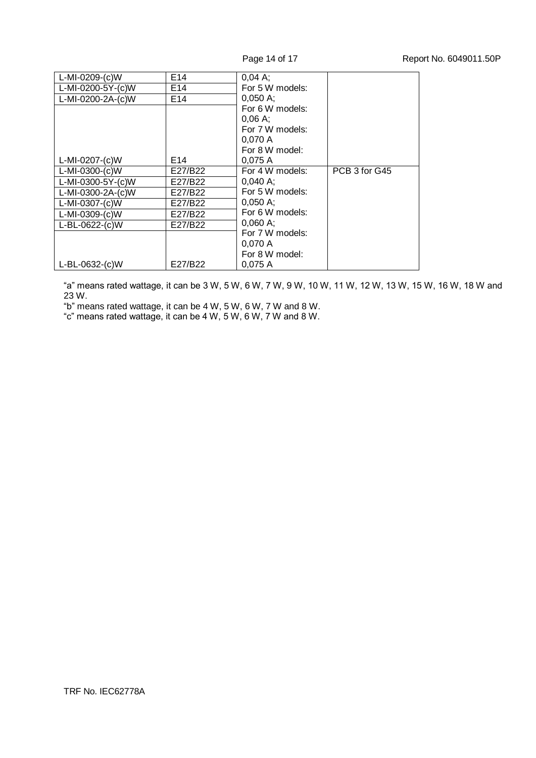| L-MI-0209-(c)W    | E <sub>14</sub> | $0.04 A$ ;          |               |
|-------------------|-----------------|---------------------|---------------|
| L-MI-0200-5Y-(c)W | E14             | For 5 W models:     |               |
| L-MI-0200-2A-(c)W | E <sub>14</sub> | $0,050 \text{ A}$ ; |               |
|                   |                 | For 6 W models:     |               |
|                   |                 | $0.06A$ :           |               |
|                   |                 | For 7 W models:     |               |
|                   |                 | 0,070 A             |               |
|                   |                 | For 8 W model:      |               |
| L-MI-0207-(c)W    | E14             | 0.075A              |               |
| L-MI-0300-(c)W    | E27/B22         | For 4 W models:     | PCB 3 for G45 |
| L-MI-0300-5Y-(c)W | E27/B22         | $0.040 A$ :         |               |
| L-MI-0300-2A-(c)W | E27/B22         | For 5 W models:     |               |
| L-MI-0307-(c)W    | E27/B22         | 0,050 A;            |               |
| L-MI-0309-(c)W    | E27/B22         | For 6 W models:     |               |
| L-BL-0622-(c)W    | E27/B22         | $0.060A$ :          |               |
|                   |                 | For 7 W models:     |               |
|                   |                 | 0.070A              |               |
|                   |                 | For 8 W model:      |               |
| L-BL-0632-(c)W    | E27/B22         | 0.075A              |               |

"a" means rated wattage, it can be 3 W, 5 W, 6 W, 7 W, 9 W, 10 W, 11 W, 12 W, 13 W, 15 W, 16 W, 18 W and 23 W.

"b" means rated wattage, it can be 4 W, 5 W, 6 W, 7 W and 8 W.

"c" means rated wattage, it can be 4 W, 5 W, 6 W, 7 W and 8 W.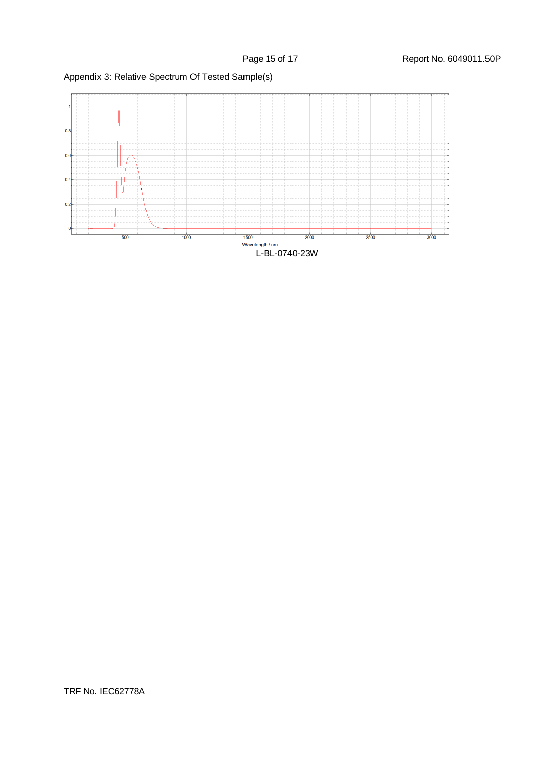

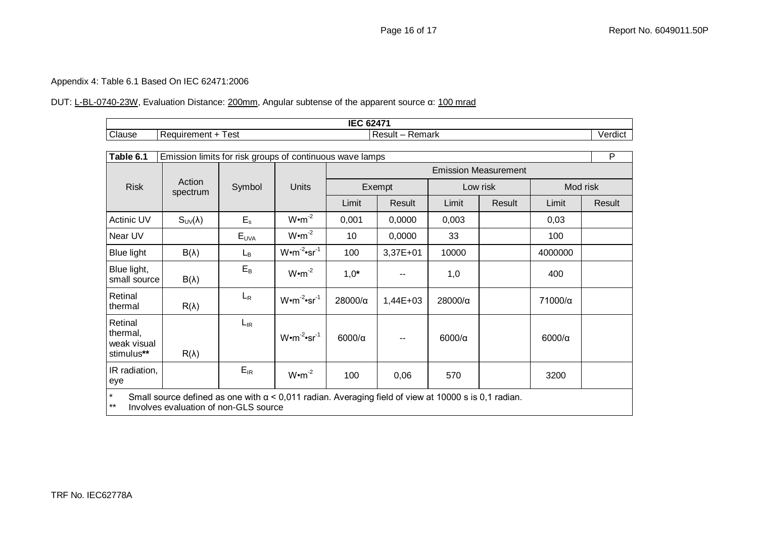#### Appendix 4: Table 6.1 Based On IEC 62471:2006

### DUT: L-BL-0740-23W, Evaluation Distance: 200mm, Angular subtense of the apparent source α: 100 mrad

| $IPA$ $0.174$<br>,,,<br>$\mathbf{u}$<br>-- |                             |                                                     |             |  |  |  |
|--------------------------------------------|-----------------------------|-----------------------------------------------------|-------------|--|--|--|
| Clause                                     | est<br>equiremer.<br>aent - | <b>Result</b><br>≺emark<br>$\overline{\phantom{0}}$ | <br>Verdict |  |  |  |

| Table 6.1                                                                                                              | Emission limits for risk groups of continuous wave lamps |                |                                |                             |            |               | $\overline{P}$ |               |        |  |
|------------------------------------------------------------------------------------------------------------------------|----------------------------------------------------------|----------------|--------------------------------|-----------------------------|------------|---------------|----------------|---------------|--------|--|
|                                                                                                                        |                                                          |                | Units                          | <b>Emission Measurement</b> |            |               |                |               |        |  |
| <b>Risk</b>                                                                                                            | Action<br>spectrum                                       | Symbol         |                                | Exempt                      |            | Low risk      |                | Mod risk      |        |  |
|                                                                                                                        |                                                          |                |                                | Limit                       | Result     | Limit         | Result         | Limit         | Result |  |
| Actinic UV                                                                                                             | $S_{UV}(\lambda)$                                        | $E_{s}$        | $W \cdot m^{-2}$               | 0,001                       | 0,0000     | 0,003         |                | 0,03          |        |  |
| Near UV                                                                                                                |                                                          | EUVA           | $W \cdot m^{-2}$               | 10                          | 0,0000     | 33            |                | 100           |        |  |
| <b>Blue light</b>                                                                                                      | $B(\lambda)$                                             | L <sub>B</sub> | $W \cdot m^{-2} \cdot sr^{-1}$ | 100                         | 3,37E+01   | 10000         |                | 4000000       |        |  |
| Blue light,<br>small source                                                                                            | $B(\lambda)$                                             | $E_B$          | $W \cdot m^{-2}$               | $1,0^*$                     |            | 1,0           |                | 400           |        |  |
| Retinal<br>thermal                                                                                                     | $R(\lambda)$                                             | $L_{R}$        | $W \cdot m^{-2} \cdot sr^{-1}$ | 28000/a                     | $1,44E+03$ | 28000/α       |                | 71000/α       |        |  |
| Retinal<br>thermal,<br>weak visual<br>stimulus**                                                                       | $R(\lambda)$                                             | $L_{IR}$       | $W \cdot m^{-2} \cdot sr^{-1}$ | $6000/\alpha$               |            | $6000/\alpha$ |                | $6000/\alpha$ |        |  |
| IR radiation,<br>eye                                                                                                   |                                                          | $E_{IR}$       | $W \cdot m^{-2}$               | 100                         | 0,06       | 570           |                | 3200          |        |  |
| $\star$<br>Small source defined as one with $\alpha$ < 0,011 radian. Averaging field of view at 10000 s is 0,1 radian. |                                                          |                |                                |                             |            |               |                |               |        |  |

\*\* Involves evaluation of non-GLS source